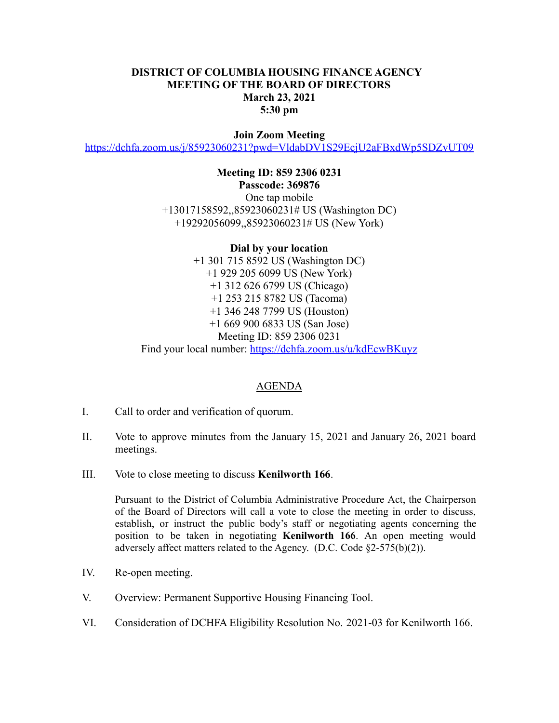## **DISTRICT OF COLUMBIA HOUSING FINANCE AGENCY MEETING OF THE BOARD OF DIRECTORS March 23, 2021 5:30 pm**

## **Join Zoom Meeting**

<https://dchfa.zoom.us/j/85923060231?pwd=VldabDV1S29EcjU2aFBxdWp5SDZvUT09>

**Meeting ID: 859 2306 0231 Passcode: 369876** One tap mobile +13017158592,,85923060231# US (Washington DC) +19292056099,,85923060231# US (New York)

**Dial by your location** +1 301 715 8592 US (Washington DC) +1 929 205 6099 US (New York) +1 312 626 6799 US (Chicago) +1 253 215 8782 US (Tacoma) +1 346 248 7799 US (Houston) +1 669 900 6833 US (San Jose) Meeting ID: 859 2306 0231 Find your local number: <https://dchfa.zoom.us/u/kdEcwBKuyz>

## AGENDA

- I. Call to order and verification of quorum.
- II. Vote to approve minutes from the January 15, 2021 and January 26, 2021 board meetings.
- III. Vote to close meeting to discuss **Kenilworth 166**.

Pursuant to the District of Columbia Administrative Procedure Act, the Chairperson of the Board of Directors will call a vote to close the meeting in order to discuss, establish, or instruct the public body's staff or negotiating agents concerning the position to be taken in negotiating **Kenilworth 166**. An open meeting would adversely affect matters related to the Agency. (D.C. Code §2-575(b)(2)).

- IV. Re-open meeting.
- V. Overview: Permanent Supportive Housing Financing Tool.
- VI. Consideration of DCHFA Eligibility Resolution No. 2021-03 for Kenilworth 166.